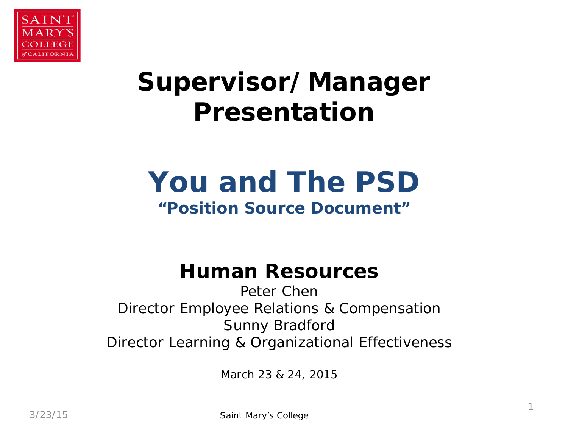

## **Supervisor/Manager Presentation**

# **You and The PSD**

#### **"Position Source Document"**

#### **Human Resources**

Peter Chen Director Employee Relations & Compensation Sunny Bradford Director Learning & Organizational Effectiveness

March 23 & 24, 2015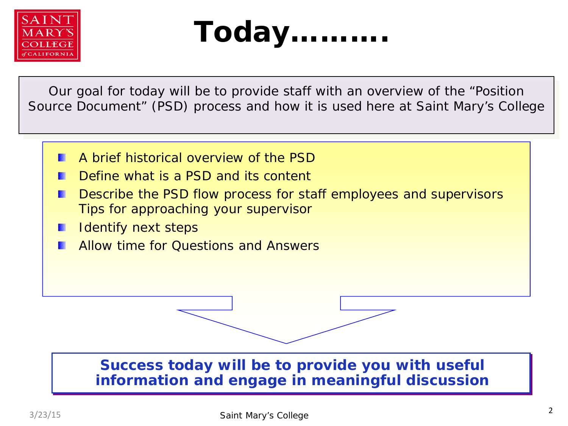



Our goal for today will be to provide staff with an overview of the "Position Source Document" (PSD) process and how it is used here at Saint Mary's College

- A brief historical overview of the PSD
- Define what is a PSD and its content
- Describe the PSD flow process for staff employees and supervisors Tips for approaching your supervisor
- Identify next steps
- Allow time for Questions and Answers

#### **Success today will be to provide you with useful information and engage in meaningful discussion**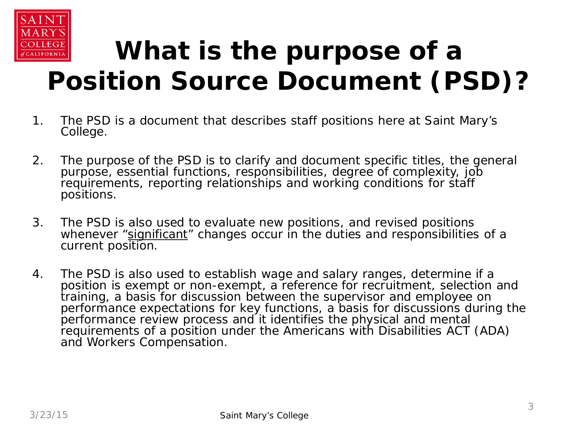

## **What is the purpose of a Position Source Document (PSD)?**

- 1. The PSD is a document that describes staff positions here at Saint Mary's College.
- 2. The purpose of the PSD is to clarify and document specific titles, the general purpose, essential functions, responsibilities, degree of complexity, job requirements, reporting relationships and working conditions for staff positions.
- 3. The PSD is also used to evaluate new positions, and revised positions whenever "significant" changes occur in the duties and responsibilities of a current position.
- 4. The PSD is also used to establish wage and salary ranges, determine if a position is exempt or non-exempt, a reference for recruitment, selection and training, a basis for discussion between the supervisor and employee on performance expectations for key functions, a basis for discussions during the performance review process and it identifies the physical and mental requirements of a position under the Americans with Disabilities ACT (ADA) and Workers Compensation.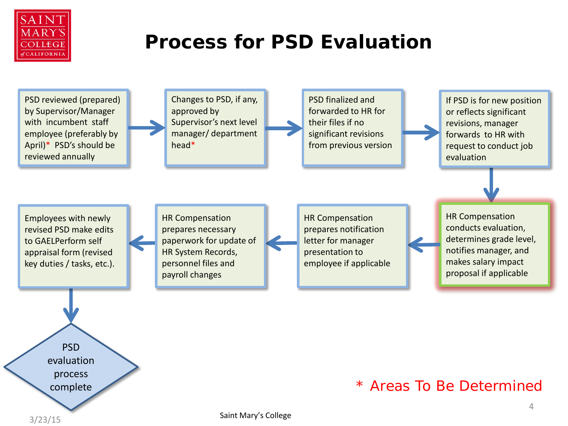

### **Process for PSD Evaluation**

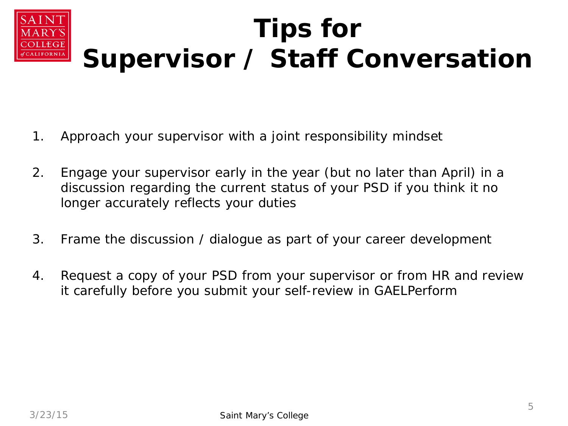#### **Tips for Supervisor / Staff Conversation ALIFORNIA**

- 1. Approach your supervisor with a joint responsibility mindset
- 2. Engage your supervisor early in the year (but no later than April) in a discussion regarding the current status of your PSD if you think it no longer accurately reflects your duties
- 3. Frame the discussion / dialogue as part of your career development
- 4. Request a copy of your PSD from your supervisor or from HR and review it carefully before you submit your self-review in GAELPerform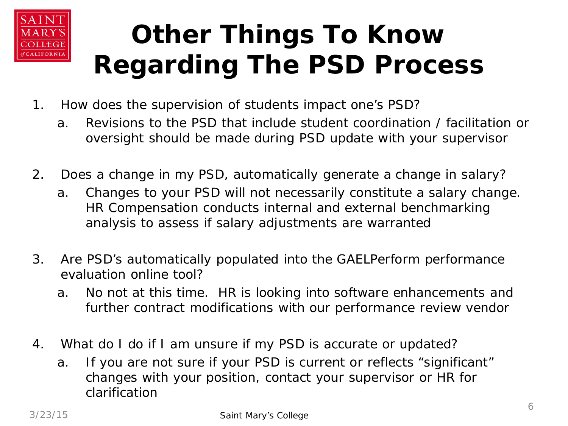

## **Other Things To Know Regarding The PSD Process**

- 1. How does the supervision of students impact one's PSD?
	- a. Revisions to the PSD that include student coordination / facilitation or oversight should be made during PSD update with your supervisor
- 2. Does a change in my PSD, automatically generate a change in salary?
	- a. Changes to your PSD will not necessarily constitute a salary change. HR Compensation conducts internal and external benchmarking analysis to assess if salary adjustments are warranted
- 3. Are PSD's automatically populated into the GAELPerform performance evaluation online tool?
	- a. No not at this time. HR is looking into software enhancements and further contract modifications with our performance review vendor
- 4. What do I do if I am unsure if my PSD is accurate or updated?
	- a. If you are not sure if your PSD is current or reflects "significant" changes with your position, contact your supervisor or HR for clarification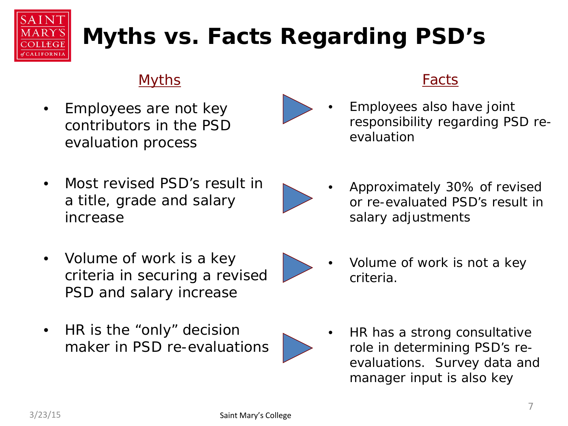

## **Myths vs. Facts Regarding PSD's**

#### Myths

• Employees are not key contributors in the PSD evaluation process

• Employees also have joint responsibility regarding PSD reevaluation

Facts

• Most revised PSD's result in a title, grade and salary increase



• Approximately 30% of revised or re-evaluated PSD's result in salary adjustments

- Volume of work is a key criteria in securing a revised PSD and salary increase
- HR is the "only" decision maker in PSD re-evaluations



- Volume of work is not a key criteria.
- HR has a strong consultative role in determining PSD's reevaluations. Survey data and manager input is also key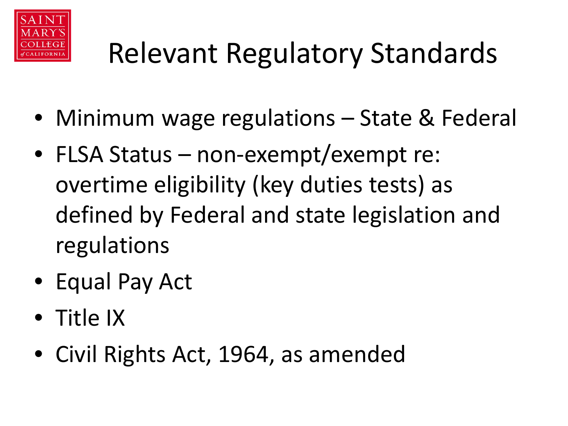

# Relevant Regulatory Standards

- Minimum wage regulations State & Federal
- FLSA Status non-exempt/exempt re: overtime eligibility (key duties tests) as defined by Federal and state legislation and regulations
- Equal Pay Act
- Title IX
- Civil Rights Act, 1964, as amended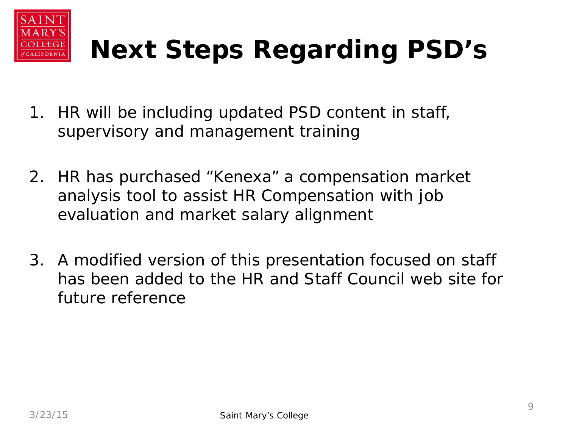

## **Next Steps Regarding PSD's**

- 1. HR will be including updated PSD content in staff, supervisory and management training
- 2. HR has purchased "Kenexa" a compensation market analysis tool to assist HR Compensation with job evaluation and market salary alignment
- 3. A modified version of this presentation focused on staff has been added to the HR and Staff Council web site for future reference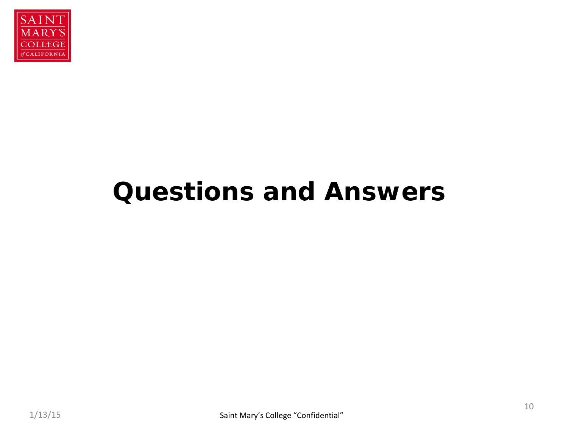

## **Questions and Answers**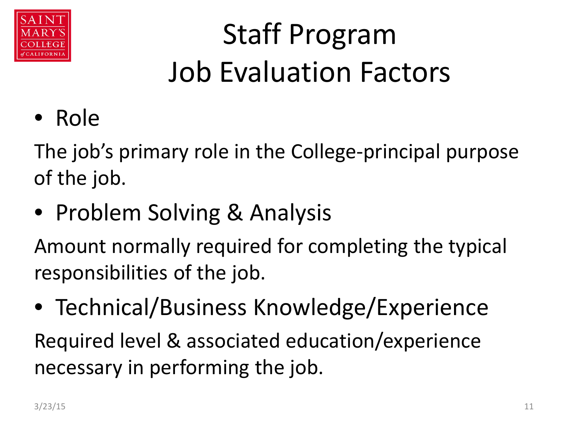

# Staff Program Job Evaluation Factors

• Role

The job's primary role in the College-principal purpose of the job.

• Problem Solving & Analysis

Amount normally required for completing the typical responsibilities of the job.

• Technical/Business Knowledge/Experience Required level & associated education/experience necessary in performing the job.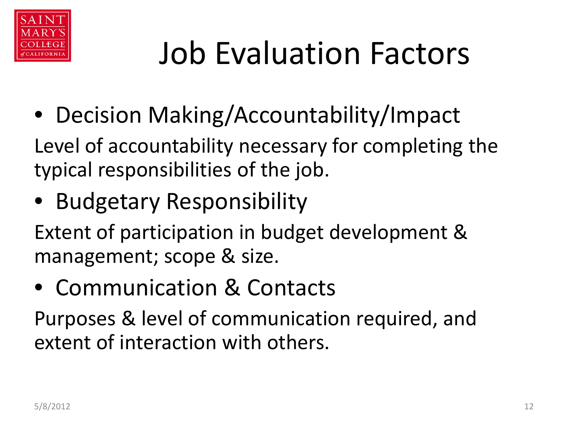

# Job Evaluation Factors

• Decision Making/Accountability/Impact

Level of accountability necessary for completing the typical responsibilities of the job.

• Budgetary Responsibility

Extent of participation in budget development & management; scope & size.

• Communication & Contacts

Purposes & level of communication required, and extent of interaction with others.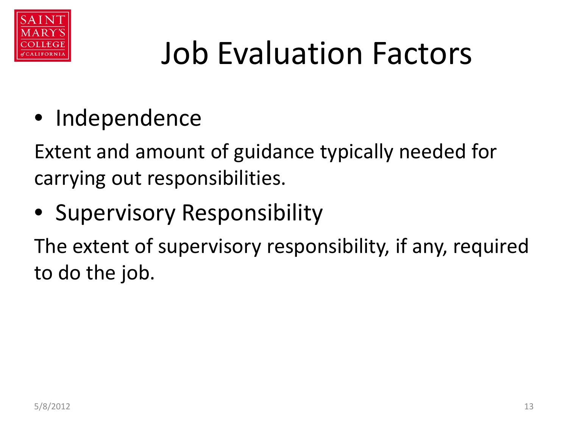

# Job Evaluation Factors

• Independence

Extent and amount of guidance typically needed for carrying out responsibilities.

• Supervisory Responsibility

The extent of supervisory responsibility, if any, required to do the job.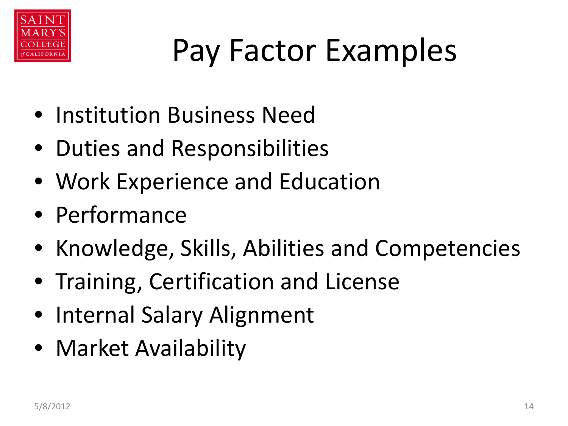

# Pay Factor Examples

- Institution Business Need
- Duties and Responsibilities
- Work Experience and Education
- Performance
- Knowledge, Skills, Abilities and Competencies
- Training, Certification and License
- Internal Salary Alignment
- Market Availability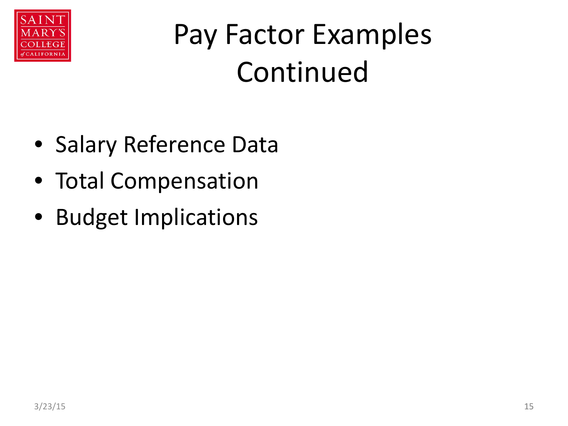

# Pay Factor Examples Continued

- Salary Reference Data
- Total Compensation
- Budget Implications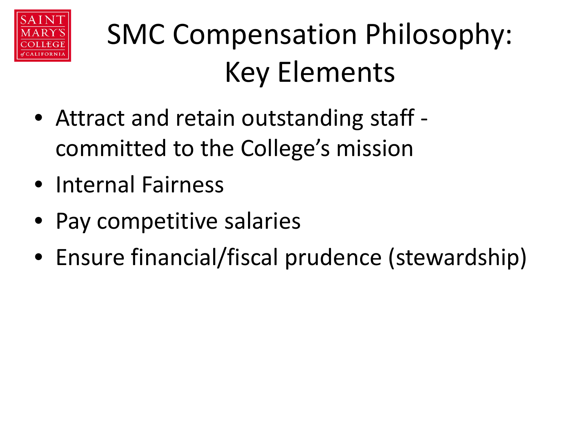

# SMC Compensation Philosophy: Key Elements

- Attract and retain outstanding staff committed to the College's mission
- Internal Fairness
- Pay competitive salaries
- Ensure financial/fiscal prudence (stewardship)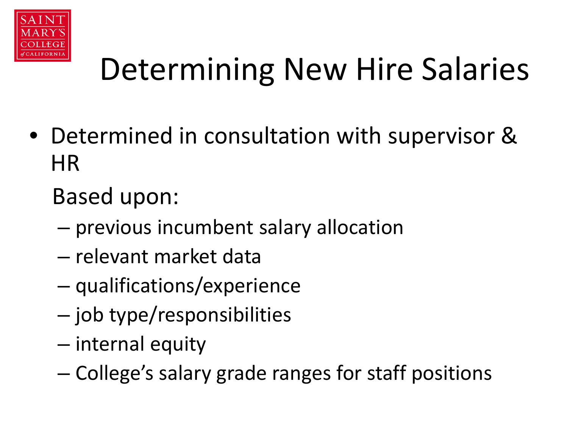

# Determining New Hire Salaries

• Determined in consultation with supervisor & HR

Based upon:

- previous incumbent salary allocation
- relevant market data
- qualifications/experience
- job type/responsibilities
- internal equity
- College's salary grade ranges for staff positions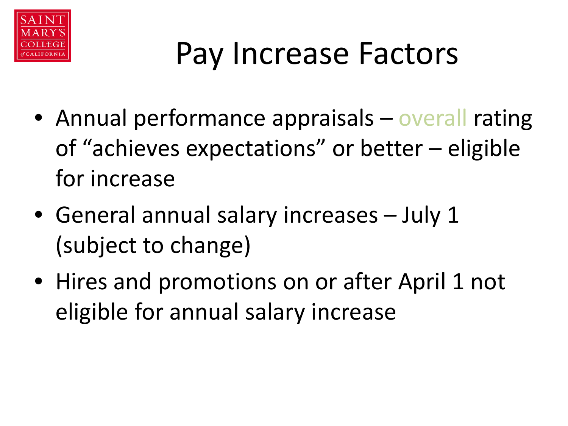

# Pay Increase Factors

- Annual performance appraisals overall rating of "achieves expectations" or better – eligible for increase
- General annual salary increases July 1 (subject to change)
- Hires and promotions on or after April 1 not eligible for annual salary increase